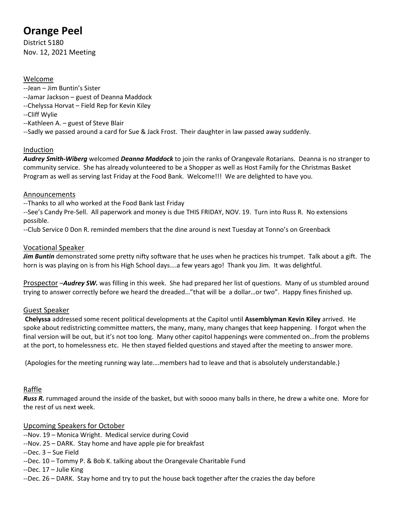# **Orange Peel**

District 5180 Nov. 12, 2021 Meeting

## Welcome

- --Jean Jim Buntin's Sister
- --Jamar Jackson guest of Deanna Maddock
- --Chelyssa Horvat Field Rep for Kevin Kiley
- --Cliff Wylie
- --Kathleen A. guest of Steve Blair
- --Sadly we passed around a card for Sue & Jack Frost. Their daughter in law passed away suddenly.

## Induction

*Audrey Smith-Wiberg* welcomed *Deanna Maddock* to join the ranks of Orangevale Rotarians. Deanna is no stranger to community service. She has already volunteered to be a Shopper as well as Host Family for the Christmas Basket Program as well as serving last Friday at the Food Bank. Welcome!!! We are delighted to have you.

#### Announcements

--Thanks to all who worked at the Food Bank last Friday

--See's Candy Pre-Sell. All paperwork and money is due THIS FRIDAY, NOV. 19. Turn into Russ R. No extensions possible.

--Club Service 0 Don R. reminded members that the dine around is next Tuesday at Tonno's on Greenback

#### Vocational Speaker

*Jim Buntin* demonstrated some pretty nifty software that he uses when he practices his trumpet. Talk about a gift. The horn is was playing on is from his High School days….a few years ago! Thank you Jim. It was delightful.

Prospector –*Audrey SW.* was filling in this week. She had prepared her list of questions. Many of us stumbled around trying to answer correctly before we heard the dreaded…"that will be a dollar…or two". Happy fines finished up.

## Guest Speaker

**Chelyssa** addressed some recent political developments at the Capitol until **Assemblyman Kevin Kiley** arrived. He spoke about redistricting committee matters, the many, many, many changes that keep happening. I forgot when the final version will be out, but it's not too long. Many other capitol happenings were commented on…from the problems at the port, to homelessness etc. He then stayed fielded questions and stayed after the meeting to answer more.

(Apologies for the meeting running way late….members had to leave and that is absolutely understandable.)

## Raffle

*Russ R.* rummaged around the inside of the basket, but with soooo many balls in there, he drew a white one. More for the rest of us next week.

## Upcoming Speakers for October

- --Nov. 19 Monica Wright. Medical service during Covid
- --Nov. 25 DARK. Stay home and have apple pie for breakfast
- --Dec. 3 Sue Field
- --Dec. 10 Tommy P. & Bob K. talking about the Orangevale Charitable Fund
- --Dec. 17 Julie King
- --Dec. 26 DARK. Stay home and try to put the house back together after the crazies the day before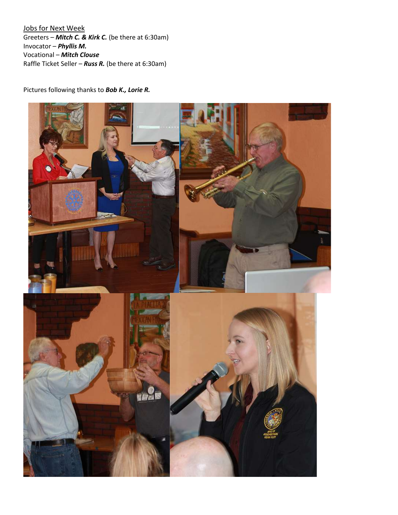Jobs for Next Week Greeters – *Mitch C. & Kirk C.* (be there at 6:30am) Invocator – *Phyllis M.* Vocational – *Mitch Clouse* Raffle Ticket Seller – *Russ R.* (be there at 6:30am)

Pictures following thanks to *Bob K., Lorie R.*